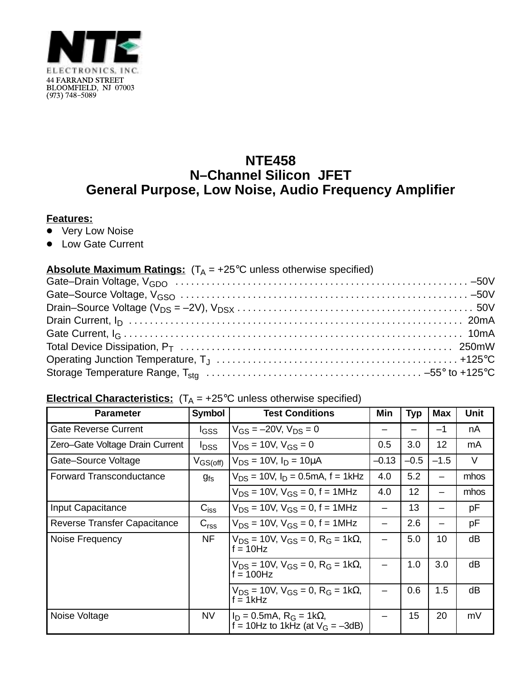

## **NTE458 N–Channel Silicon JFET General Purpose, Low Noise, Audio Frequency Amplifier**

## **Features:**

- Very Low Noise
- Low Gate Current

## **Absolute Maximum Ratings:**  $(T_A = +25^{\circ}C$  unless otherwise specified)

## **Electrical Characteristics:**  $(T_A = +25^\circ C$  unless otherwise specified)

| <b>Parameter</b>                | <b>Symbol</b>           | <b>Test Conditions</b>                                                                | Min     | <b>Typ</b> | <b>Max</b> | Unit |
|---------------------------------|-------------------------|---------------------------------------------------------------------------------------|---------|------------|------------|------|
| <b>Gate Reverse Current</b>     | lgss                    | $V_{GS} = -20V$ , $V_{DS} = 0$                                                        |         |            | $-1$       | nA   |
| Zero-Gate Voltage Drain Current | <b>I</b> <sub>DSS</sub> | $V_{DS} = 10V$ , $V_{GS} = 0$                                                         | 0.5     | 3.0        | 12         | mA   |
| Gate-Source Voltage             | $V_{GS(off)}$           | $V_{DS} = 10V$ , $I_D = 10 \mu A$                                                     | $-0.13$ | $-0.5$     | $-1.5$     | V    |
| Forward Transconductance        | $g_{fs}$                | $V_{DS}$ = 10V, $I_D$ = 0.5mA, f = 1kHz                                               | 4.0     | 5.2        |            | mhos |
|                                 |                         | $V_{DS}$ = 10V, $V_{GS}$ = 0, f = 1MHz                                                | 4.0     | 12         |            | mhos |
| Input Capacitance               | $C_{iss}$               | $V_{DS}$ = 10V, $V_{GS}$ = 0, f = 1MHz                                                |         | 13         |            | рF   |
| Reverse Transfer Capacitance    | C <sub>rss</sub>        | $V_{DS}$ = 10V, $V_{GS}$ = 0, f = 1MHz                                                |         | 2.6        |            | рF   |
| Noise Frequency                 | NF                      | $V_{DS}$ = 10V, $V_{GS}$ = 0, R <sub>G</sub> = 1k $\Omega$ ,<br>$f = 10$ Hz           |         | 5.0        | 10         | dB   |
|                                 |                         | $V_{DS}$ = 10V, $V_{GS}$ = 0, R <sub>G</sub> = 1k $\Omega$ ,<br>$f = 100$ Hz          |         | 1.0        | 3.0        | dB   |
|                                 |                         | $V_{DS}$ = 10V, $V_{GS}$ = 0, R <sub>G</sub> = 1k $\Omega$ ,<br>$f = 1kHz$            |         | 0.6        | 1.5        | dВ   |
| Noise Voltage                   | <b>NV</b>               | $I_D = 0.5 \text{mA}, R_G = 1 \text{k}\Omega,$<br>f = 10Hz to 1kHz (at $V_G = -3dB$ ) |         | 15         | 20         | mV   |